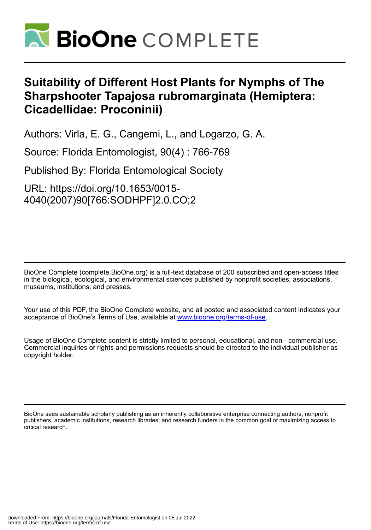

## **Suitability of Different Host Plants for Nymphs of The Sharpshooter Tapajosa rubromarginata (Hemiptera: Cicadellidae: Proconinii)**

Authors: Virla, E. G., Cangemi, L., and Logarzo, G. A.

Source: Florida Entomologist, 90(4) : 766-769

Published By: Florida Entomological Society

URL: https://doi.org/10.1653/0015- 4040(2007)90[766:SODHPF]2.0.CO;2

BioOne Complete (complete.BioOne.org) is a full-text database of 200 subscribed and open-access titles in the biological, ecological, and environmental sciences published by nonprofit societies, associations, museums, institutions, and presses.

Your use of this PDF, the BioOne Complete website, and all posted and associated content indicates your acceptance of BioOne's Terms of Use, available at www.bioone.org/terms-of-use.

Usage of BioOne Complete content is strictly limited to personal, educational, and non - commercial use. Commercial inquiries or rights and permissions requests should be directed to the individual publisher as copyright holder.

BioOne sees sustainable scholarly publishing as an inherently collaborative enterprise connecting authors, nonprofit publishers, academic institutions, research libraries, and research funders in the common goal of maximizing access to critical research.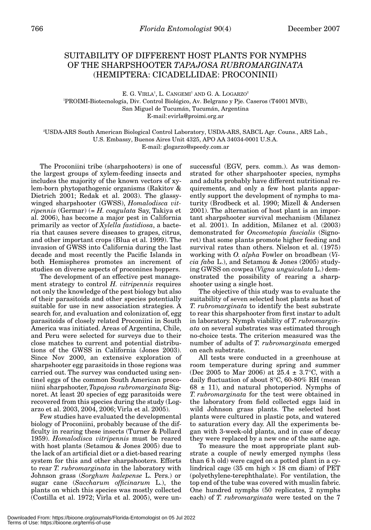## SUITABILITY OF DIFFERENT HOST PLANTS FOR NYMPHS OF THE SHARPSHOOTER *TAPAJOSA RUBROMARGINATA* (HEMIPTERA: CICADELLIDAE: PROCONINII)

E. G. VIRLA<sup>1</sup>, L. CANGEMI<sup>1</sup> AND G. A. LOGARZO<sup>2</sup> 1 PROIMI-Biotecnología, Div. Control Biológico, Av. Belgrano y Pje. Caseros (T4001 MVB), San Miguel de Tucumán, Tucumán, Argentina E-mail: evirla@proimi.org.ar

2 USDA-ARS South American Biological Control Laboratory, USDA-ARS, SABCL Agr. Couns., ARS Lab., U.S. Embassy, Buenos Aires Unit 4325, APO AA 34034-0001 U.S.A. E-mail: glogarzo@speedy.com.ar

The Proconiini tribe (sharpshooters) is one of the largest groups of xylem-feeding insects and includes the majority of the known vectors of xylem-born phytopathogenic organisms (Rakitov & Dietrich 2001; Redak et al. 2003). The glassywinged sharpshooter (GWSS), *Homalodisca vitripennis* (Germar) (= *H. coagulata* Say, Takiya et al. 2006), has become a major pest in California primarily as vector of *Xylella fastidiosa*, a bacteria that causes severe diseases to grapes, citrus, and other important crops (Blua et al. 1999). The invasion of GWSS into California during the last decade and most recently the Pacific Islands in both Hemispheres promotes an increment of studies on diverse aspects of proconines hoppers.

The development of an effective pest management strategy to control *H. vitripennis* requires not only the knowledge of the pest biology but also of their parasitoids and other species potentially suitable for use in new association strategies. A search for, and evaluation and colonization of, egg parasitoids of closely related Proconiini in South America was initiated. Areas of Argentina, Chile, and Peru were selected for surveys due to their close matches to current and potential distributions of the GWSS in California (Jones 2003). Since Nov 2000, an extensive exploration of sharpshooter egg parasitoids in those regions was carried out. The survey was conducted using sentinel eggs of the common South American proconiini sharpshooter, *Tapajosa rubromarginata* Signoret. At least 20 species of egg parasitoids were recovered from this species during the study (Logarzo et al. 2003, 2004, 2006; Virla et al. 2005).

Few studies have evaluated the developmental biology of Proconiini, probably because of the difficulty in rearing these insects (Turner & Pollard 1959). *Homalodisca vitripennis* must be reared with host plants (Setamou & Jones 2005) due to the lack of an artificial diet or a diet-based rearing system for this and other sharpshooters. Efforts to rear *T. rubromarginata* in the laboratory with Johnson grass (*Sorghum halepense* L. Pers.) or sugar cane (*Saccharum officinarum* L.), the plants on which this species was mostly collected (Costilla et al. 1972; Virla et al. 2005), were un-

successful (EGV, pers. comm.). As was demonstrated for other sharpshooter species, nymphs and adults probably have different nutritional requirements, and only a few host plants apparently support the development of nymphs to maturity (Brodbeck et al. 1990; Mizell & Andersen 2001). The alternation of host plant is an important sharpshooter survival mechanism (Milanez et al. 2001). In addition, Milanez et al. (2003) demonstrated for *Oncometopia fascialis* (Signoret) that some plants promote higher feeding and survival rates than others. Nielson et al. (1975) working with *O. alpha* Fowler on broadbean (*Vicia faba* L.), and Setamou & Jones (2005) studying GWSS on cowpea (*Vigna unguiculata* L.) demonstrated the possibility of rearing a sharpshooter using a single host.

The objective of this study was to evaluate the suitability of seven selected host plants as host of *T. rubromarginata* to identify the best substrate to rear this sharpshooter from first instar to adult in laboratory. Nymph viability of *T. rubromarginata* on several substrates was estimated through no-choice tests. The criterion measured was the number of adults of *T. rubromarginata* emerged on each substrate.

All tests were conducted in a greenhouse at room temperature during spring and summer (Dec 2005 to Mar 2006) at  $25.4 \pm 3.7^{\circ}$ C, with a daily fluctuation of about 8°C, 60-80% RH (mean  $68 \pm 11$ ), and natural photoperiod. Nymphs of *T. rubromarginata* for the test were obtained in the laboratory from field collected eggs laid in wild Johnson grass plants. The selected host plants were cultured in plastic pots, and watered to saturation every day. All the experiments began with 3-week-old plants, and in case of decay they were replaced by a new one of the same age.

To measure the most appropriate plant substrate a couple of newly emerged nymphs (less than 6 h old) were caged on a potted plant in a cylindrical cage (35 cm high  $\times$  18 cm diam) of PET (polyethylene-terephthalate). For ventilation, the top end of the tube was covered with muslin fabric. One hundred nymphs (50 replicates, 2 nymphs each) of *T. rubromarginata* were tested on the 7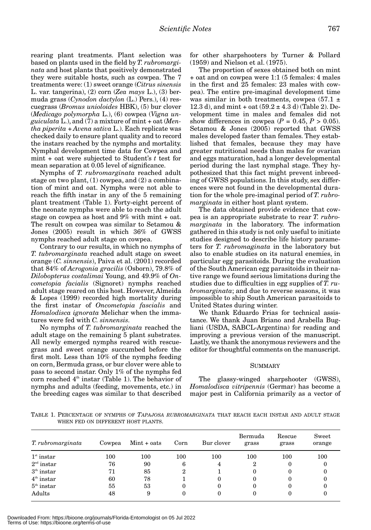rearing plant treatments. Plant selection was based on plants used in the field by *T. rubromarginata* and host plants that positively demonstrated they were suitable hosts, such as cowpea. The 7 treatments were: (1) sweet orange (*Citrus sinensis* L. var. tangerina), (2) corn (*Zea mays* L.), (3) bermuda grass (*Cynodon dactylon* (L.) Pers.), (4) rescuegrass (*Bromus unioloides* HBK), (5) bur clover (*Medicago polymorpha* L.), (6) cowpea (*Vigna unguiculata* L.), and (7) a mixture of mint + oat (*Mentha piperita* + *Avena sativa* L.). Each replicate was checked daily to ensure plant quality and to record the instars reached by the nymphs and mortality. Nymphal development time data for Cowpea and mint + oat were subjected to Student's *t* test for mean separation at 0.05 level of significance.

Nymphs of *T. rubromarginata* reached adult stage on two plant, (1) cowpea, and (2) a combination of mint and oat. Nymphs were not able to reach the fifth instar in any of the 5 remaining plant treatment (Table 1). Forty-eight percent of the neonate nymphs were able to reach the adult stage on cowpea as host and 9% with mint + oat. The result on cowpea was similar to Setamou & Jones (2005) result in which 36% of GWSS nymphs reached adult stage on cowpea.

Contrary to our results, in which no nymphs of *T. tubromarginata* reached adult stage on sweet orange (*C. sinnensis*), Paiva et al. (2001) recorded that 84% of *Acrogonia gracilis* (Osborn), 79.8% of *Dilobopterus costalimai* Young, and 49.9% of *Oncometopia facialis* (Signoret) nymphs reached adult stage reared on this host. However, Almeida & Lopes (1999) recorded high mortality during the first instar of *Oncometopia fascialis* and *Homalodisca ignorata* Melichar when the immatures were fed with *C. sinnensis*.

No nymphs of *T. tubromarginata* reached the adult stage on the remaining 5 plant substrates. All newly emerged nymphs reared with rescuegrass and sweet orange succumbed before the first molt. Less than 10% of the nymphs feeding on corn, Bermuda grass, or bur clover were able to pass to second instar. Only 1% of the nymphs fed corn reached  $4<sup>th</sup>$  instar (Table 1). The behavior of nymphs and adults (feeding, movements, etc.) in the breeding cages was similar to that described

for other sharpshooters by Turner & Pollard (1959) and Nielson et al. (1975).

The proportion of sexes obtained both on mint + oat and on cowpea were 1:1 (5 females: 4 males in the first and 25 females: 23 males with cowpea). The entire pre-imaginal development time was similar in both treatments, cowpea (57.1  $\pm$ 12.3 d), and mint + oat  $(59.2 \pm 4.3 \text{ d})$  (Table 2). Development time in males and females did not show differences in cowpea  $(P = 0.45, P > 0.05)$ . Setamou & Jones (2005) reported that GWSS males developed faster than females. They established that females, because they may have greater nutritional needs than males for ovarian and eggs maturation, had a longer developmental period during the last nymphal stage. They hypothesized that this fact might prevent inbreeding of GWSS populations. In this study, sex differences were not found in the developmental duration for the whole pre-imaginal period of *T. rubromarginata* in either host plant system.

The data obtained provide evidence that cowpea is an appropriate substrate to rear *T. rubromarginata* in the laboratory. The information gathered in this study is not only useful to initiate studies designed to describe life history parameters for *T. rubromaginata* in the laboratory but also to enable studies on its natural enemies, in particular egg parasitoids. During the evaluation of the South American egg parasitoids in their native range we found serious limitations during the studies due to difficulties in egg supplies of *T. rubromarginata*; and due to reverse seasons, it was impossible to ship South American parasitoids to United States during winter.

We thank Eduardo Frias for technical assistance. We thank Juan Briano and Arabella Bugliani (USDA, SABCL-Argentina) for reading and improving a previous version of the manuscript. Lastly, we thank the anonymous reviewers and the editor for thoughtful comments on the manuscript.

## SUMMARY

The glassy-winged sharpshooter (GWSS), *Homalodisca vitripennis* (Germar) has become a major pest in California primarily as a vector of

TABLE 1. PERCENTAGE OF NYMPHS OF *TAPAJOSA RUBROMARGINATA* THAT REACH EACH INSTAR AND ADULT STAGE WHEN FED ON DIFFERENT HOST PLANTS.

| T. rubromarginata | Cowpea  | $Mint + oats$ | Corn             | Bur clover | Bermuda<br>grass | Rescue<br>grass | Sweet<br>orange |
|-------------------|---------|---------------|------------------|------------|------------------|-----------------|-----------------|
| $1st$ instar      | $100\,$ | 100           | $100\,$          | 100        | $100\,$          | 100             | 100             |
| $2nd$ instar      | 76      | 90            | 6                | 4          | 2                | 0               | 0               |
| $3th$ instar      | 71      | 85            | $\boldsymbol{2}$ |            | 0                | 0               | 0               |
| $4th$ instar      | 60      | 78            |                  | $\theta$   | 0                | 0               | 0               |
| $5th$ instar      | 55      | 53            | 0                | 0          | 0                | 0               | 0               |
| Adults            | 48      | 9             | $\theta$         | 0          | 0                |                 | 0               |

Downloaded From: https://bioone.org/journals/Florida-Entomologist on 05 Jul 2022 Terms of Use: https://bioone.org/terms-of-use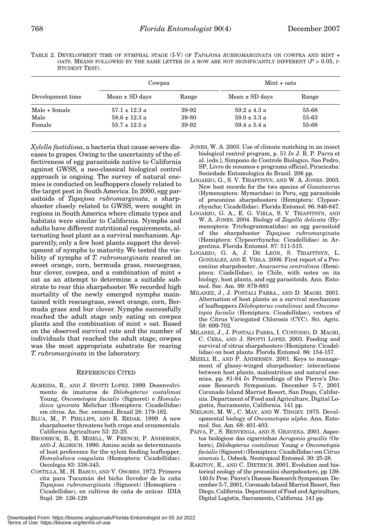|                |  |  | TABLE 2. DEVELOPMENT TIME OF NYMPHAL STAGE (I-V) OF TAPAJOSA RUBROMARGINATA ON COWPEA AND MINT +    |  |  |
|----------------|--|--|-----------------------------------------------------------------------------------------------------|--|--|
|                |  |  | OATS. MEANS FOLLOWED BY THE SAME LETTER IN A ROW ARE NOT SIGNIFICANTLY DIFFERENT ( $P > 0.05$ , $t$ |  |  |
| STUDENT TEST). |  |  |                                                                                                     |  |  |

|                  | Cowpea             |       | $Mint + oats$      |       |  |
|------------------|--------------------|-------|--------------------|-------|--|
| Development time | $Mean \pm SD$ days | Range | $Mean \pm SD$ days | Range |  |
| Male + female    | $57.1 \pm 12.3$ a  | 39-92 | $59.2 \pm 4.3$ a   | 55-68 |  |
| Male             | $58.6 \pm 12.3$ a  | 39-80 | $59.0 \pm 3.3$ a   | 55-63 |  |
| Female           | $55.7 \pm 12.5$ a  | 39-92 | $59.4 \pm 5.4$ a   | 55-68 |  |

*Xylella fastidiosa*, a bacteria that cause severe diseases to grapes. Owing to the uncertainty of the effectiveness of egg parasitoids native to California against GWSS, a neo-classical biological control approach is ongoing. The survey of natural enemies is conducted on leafhoppers closely related to the target pest in South America. In 2000, egg parasitoids of *Tapajosa rubromarginata*, a sharpshooter closely related to GWSS, were sought in regions in South America where climate types and habitats were similar to California. Nymphs and adults have different nutritional requirements, alternating host plant as a survival mechanism. Apparently, only a few host plants support the development of nymphs to maturity. We tested the viability of nymphs of *T. rubromarginata* reared on sweet orange, corn, bermuda grass, rescuegrass, bur clover, cowpea, and a combination of mint + oat as an attempt to determine a suitable substrate to rear this sharpshooter. We recorded high mortality of the newly emerged nymphs maintained with rescuegrass, sweet orange, corn, Bermuda grass and bur clover. Nymphs successfully reached the adult stage only eating on cowpea plants and the combination of mint + oat. Based on the observed survival rate and the number of individuals that reached the adult stage, cowpea was the most appropriate substrate for rearing *T. rubromarginata* in the laboratory.

## REFERENCES CITED

- ALMEIDA, R., AND J. SPOTTI LOPEZ. 1999. Desenvolvimento de imaturos de *Dilobopterus costalimai* Young, *Oncometopia facialis* (Signoret) e *Homalodisca ignorata* Melichar (Hemiptera: Cicadellidae) em citros. An. Soc. entomol. Brasil 28: 179-182.
- BLUA, M., P. PHILLIPS, AND R. REDAK. 1999. A new sharpshooter threatens both crops and ornamentals. California Agriculture 53: 22-25.
- BRODBECK, B., R. MIZELL, W. FRENCH, P. ANDERSEN, AND J. ALDRICH. 1990. Amino acids as determinants of host preference for the xylem feeding leafhopper, *Homalodisca coagulata* (Homoptera: Cicadellidae). Oecologia 83: 338-345.
- COSTILLA, M., H. BASCO, AND V. OSORES. 1972. Primera cita para Tucumán del bicho llovedor de la caña *Tapajosa rubromarginata* (Signoret) (Homoptera - Cicadellidae), en cultivos de caña de azúcar. IDIA Supl. 28: 126-129.
- JONES, W. A. 2003. Use of climate matching in an insect biological control program, p. 51 *In* J. R. P. Parra et al. [eds.], Simposio de Controle Biologico, Sao Pedro, SP, Livro de resumos e programa official, Piracicaba: Sociedade Entomologica do Brasil. 206 pp.
- LOGARZO, G., S. V. TRIAPITSYN, AND W. A. JONES. 2003. New host records for the two species of *Gonatocerus* (Hymenoptera: Mymaridae) in Peru, egg parasitoids of proconiine sharpshooters (Hemiptera: Clypeorrhyncha: Cicadellidae). Florida Entomol. 86: 846-847.
- LOGARZO, G. A., E. G. VIRLA, S. V. TRIAPITSYN, AND W. A. JONES. 2004. Biology of *Zagella delicata* (Hymenoptera: Trichogrammatidae) an egg parasitoid of the sharpshooter *Tapajosa rubromarginata* (Hemiptera: Clypeorrhyncha: Cicadellidae) in Argentina. Florida Entomol. 87: 511-515.
- LOGARZO, G. A, J. DE LEÓN, S. TRIAPITSYN, L. GONZÁLEZ, AND E. VIRLA. 2006. First report of a Proconiine sharpshooter, *Anacuerna centrolinea* (Hemiptera: Ciadellidae), in Chile, with notes on its biology, host plants, and egg parasitoids. Ann. Entomol. Soc. Am. 99: 879-883
- MILANEZ, J., J. POSTALI PARRA., AND D. MAGRI. 2001. Alternation of host plants as a survival mechanism of leafhoppers *Dilobopterus costalimai* and *Oncometopia facialis* (Hemiptera: Cicadellidae), vectors of the Citrus Variegated Chlorosis (CVC). Sci. Agric. 58: 699-702.
- MILANEZ, J., J. POSTALI PARRA, I. CUSTODIO, D. MAGRI, C. CERA, AND J. SPOTTI LOPEZ. 2003. Feeding and survival of citrus sharpshooters (Hemiptera: Cicadellidae) on host plants. Florida Entomol. 86: 154-157.
- MIZELL R., AND P. ANDERSEN. 2001. Keys to management of glassy-winged sharpshooter: interactions between host plants, malnutrition and natural enemies, pp. 81-84 *In* Proceedings of the Pierce's Disease Research Symposium. December 5-7, 2001 Coronado Island Marriot Resort, San Diego, California. Department of Food and Agriculture, Digital Logistix, Sacramento, California. 141 pp.
- NIELSON, M. W., C. MAY, AND W. TINGEY. 1975. Developmental biology of *Oncometopia alpha*. Ann. Entomol. Soc. Am. 68: 401-403.
- PAIVA, P., S. BENVENGA, AND S. GRAVENA. 2001. Aspectos biológicos das cigarrinhas *Acrogonia gracilis* (Osborn), *Dilobopterus costalimai* Young e *Oncometopia facialis* (Signoret) (Hemiptera: Cicadellidae) em *Citrus sinensis* L. Osbeck. Neotropical Entomol. 30: 25-28.
- RAKITOV, R., AND C. DIETRICH. 2001. Evolution and historical ecology of the proconiini sharpshooters, pp 139- 140 *In* Proc. Pierce's Disease Research Symposium. December 5-7, 2001, Coronado Island Marriot Resort, San Diego, California. Department of Food and Agriculture, Digital Logistix, Sacramento, California. 141 pp.